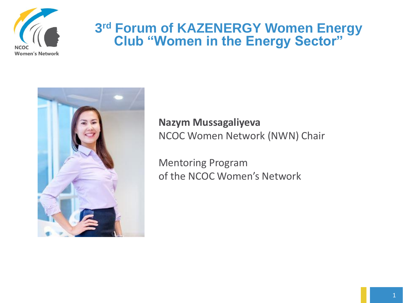

#### **3 rd Forum of KAZENERGY Women Energy Club "Women in the Energy Sector"**



#### **Nazym Mussagaliyeva** NCOC Women Network (NWN) Chair

Mentoring Program of the NCOC Women's Network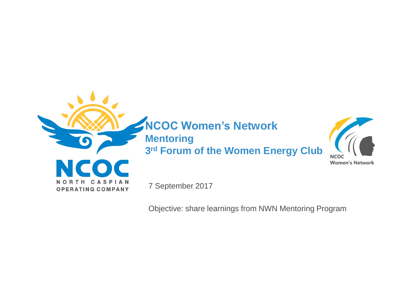

**NCOC Women's Network Mentoring** 

**3 rd Forum of the Women Energy Club**



7 September 2017

Objective: share learnings from NWN Mentoring Program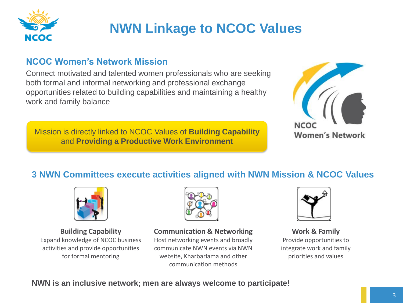

## **NWN Linkage to NCOC Values**

#### **NCOC Women's Network Mission**

Connect motivated and talented women professionals who are seeking both formal and informal networking and professional exchange opportunities related to building capabilities and maintaining a healthy work and family balance

Mission is directly linked to NCOC Values of **Building Capability**  and **Providing a Productive Work Environment**



#### **3 NWN Committees execute activities aligned with NWN Mission & NCOC Values**



**Building Capability** Expand knowledge of NCOC business activities and provide opportunities for formal mentoring



**Communication & Networking** 

Host networking events and broadly communicate NWN events via NWN website, Kharbarlama and other communication methods



**Work & Family**  Provide opportunities to integrate work and family priorities and values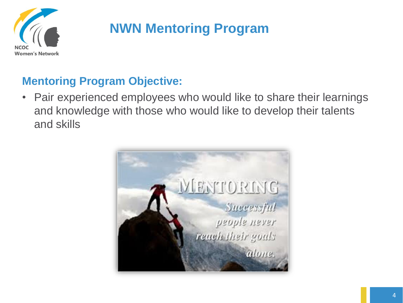

## **NWN Mentoring Program**

#### **Mentoring Program Objective:**

• Pair experienced employees who would like to share their learnings and knowledge with those who would like to develop their talents and skills

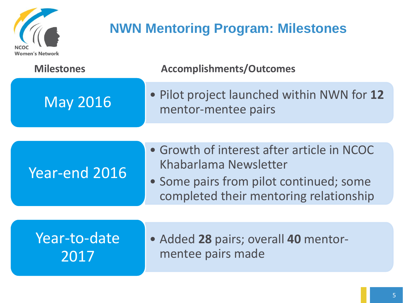

## **NWN Mentoring Program: Milestones**

| <b>Milestones</b>    | <b>Accomplishments/Outcomes</b>                                                                                                                          |
|----------------------|----------------------------------------------------------------------------------------------------------------------------------------------------------|
| <b>May 2016</b>      | . Pilot project launched within NWN for 12<br>mentor-mentee pairs                                                                                        |
|                      |                                                                                                                                                          |
| Year-end 2016        | • Growth of interest after article in NCOC<br>Khabarlama Newsletter<br>• Some pairs from pilot continued; some<br>completed their mentoring relationship |
|                      |                                                                                                                                                          |
| Year-to-date<br>2017 | • Added 28 pairs; overall 40 mentor-<br>mentee pairs made                                                                                                |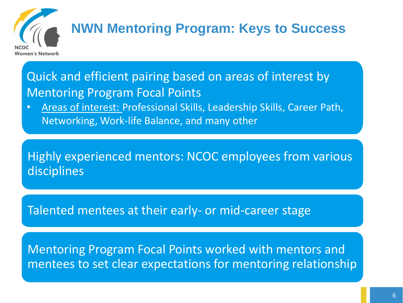

# **NWN Mentoring Program: Keys to Success**

Quick and efficient pairing based on areas of interest by Mentoring Program Focal Points

• Areas of interest: Professional Skills, Leadership Skills, Career Path, Networking, Work-life Balance, and many other

Highly experienced mentors: NCOC employees from various disciplines

Talented mentees at their early- or mid-career stage

Mentoring Program Focal Points worked with mentors and mentees to set clear expectations for mentoring relationship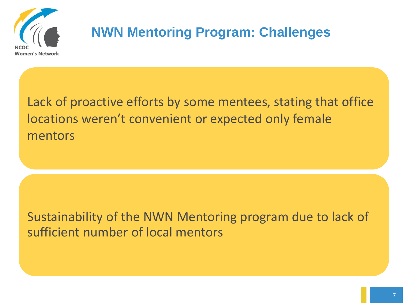

## **NWN Mentoring Program: Challenges**

Lack of proactive efforts by some mentees, stating that office locations weren't convenient or expected only female mentors

Sustainability of the NWN Mentoring program due to lack of sufficient number of local mentors